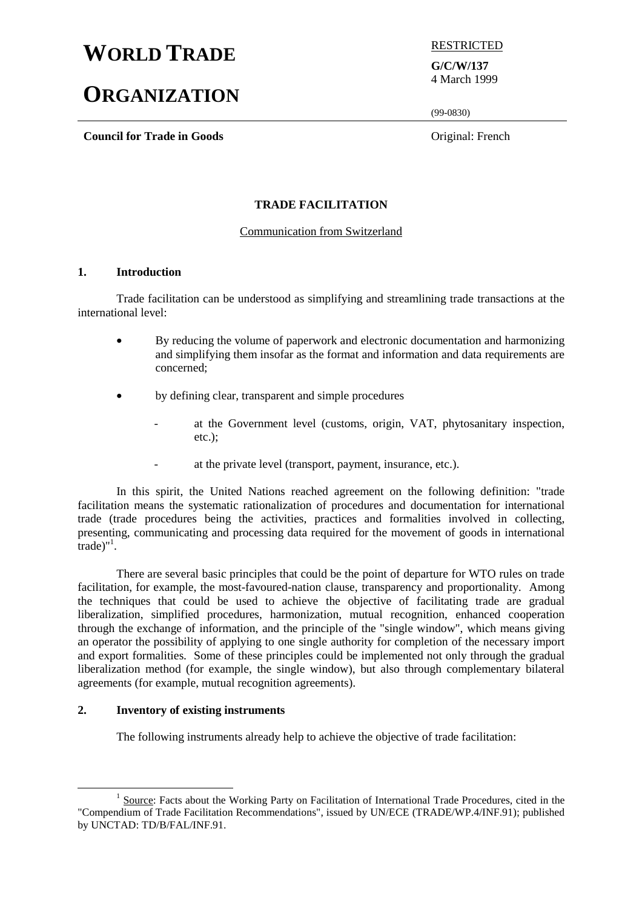# **WORLD TRADE** RESTRICTED

# **ORGANIZATION**

**Council for Trade in Goods** Original: French

**G/C/W/137** 4 March 1999

(99-0830)

# **TRADE FACILITATION**

# Communication from Switzerland

# **1. Introduction**

Trade facilitation can be understood as simplifying and streamlining trade transactions at the international level:

- By reducing the volume of paperwork and electronic documentation and harmonizing and simplifying them insofar as the format and information and data requirements are concerned;
- by defining clear, transparent and simple procedures
	- at the Government level (customs, origin, VAT, phytosanitary inspection, etc.);
	- at the private level (transport, payment, insurance, etc.).

In this spirit, the United Nations reached agreement on the following definition: "trade facilitation means the systematic rationalization of procedures and documentation for international trade (trade procedures being the activities, practices and formalities involved in collecting, presenting, communicating and processing data required for the movement of goods in international  $\epsilon$ trade)"<sup>1</sup>.

There are several basic principles that could be the point of departure for WTO rules on trade facilitation, for example, the most-favoured-nation clause, transparency and proportionality. Among the techniques that could be used to achieve the objective of facilitating trade are gradual liberalization, simplified procedures, harmonization, mutual recognition, enhanced cooperation through the exchange of information, and the principle of the "single window", which means giving an operator the possibility of applying to one single authority for completion of the necessary import and export formalities. Some of these principles could be implemented not only through the gradual liberalization method (for example, the single window), but also through complementary bilateral agreements (for example, mutual recognition agreements).

# **2. Inventory of existing instruments**

The following instruments already help to achieve the objective of trade facilitation:

<sup>&</sup>lt;u>1</u> <sup>1</sup> Source: Facts about the Working Party on Facilitation of International Trade Procedures, cited in the "Compendium of Trade Facilitation Recommendations", issued by UN/ECE (TRADE/WP.4/INF.91); published by UNCTAD: TD/B/FAL/INF.91.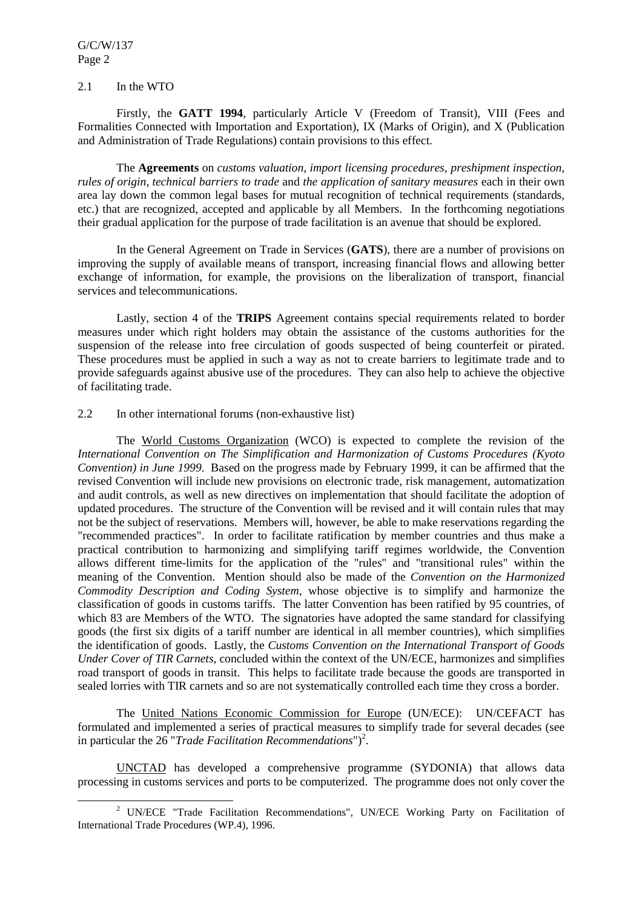G/C/W/137 Page 2

#### 2.1 In the WTO

Firstly, the **GATT 1994**, particularly Article V (Freedom of Transit), VIII (Fees and Formalities Connected with Importation and Exportation), IX (Marks of Origin), and X (Publication and Administration of Trade Regulations) contain provisions to this effect.

The **Agreements** on *customs valuation, import licensing procedures, preshipment inspection, rules of origin, technical barriers to trade* and *the application of sanitary measures* each in their own area lay down the common legal bases for mutual recognition of technical requirements (standards, etc.) that are recognized, accepted and applicable by all Members. In the forthcoming negotiations their gradual application for the purpose of trade facilitation is an avenue that should be explored.

In the General Agreement on Trade in Services (**GATS**), there are a number of provisions on improving the supply of available means of transport, increasing financial flows and allowing better exchange of information, for example, the provisions on the liberalization of transport, financial services and telecommunications.

Lastly, section 4 of the **TRIPS** Agreement contains special requirements related to border measures under which right holders may obtain the assistance of the customs authorities for the suspension of the release into free circulation of goods suspected of being counterfeit or pirated. These procedures must be applied in such a way as not to create barriers to legitimate trade and to provide safeguards against abusive use of the procedures. They can also help to achieve the objective of facilitating trade.

#### 2.2 In other international forums (non-exhaustive list)

The World Customs Organization (WCO) is expected to complete the revision of the *International Convention on The Simplification and Harmonization of Customs Procedures (Kyoto Convention) in June 1999*. Based on the progress made by February 1999, it can be affirmed that the revised Convention will include new provisions on electronic trade, risk management, automatization and audit controls, as well as new directives on implementation that should facilitate the adoption of updated procedures. The structure of the Convention will be revised and it will contain rules that may not be the subject of reservations. Members will, however, be able to make reservations regarding the "recommended practices". In order to facilitate ratification by member countries and thus make a practical contribution to harmonizing and simplifying tariff regimes worldwide, the Convention allows different time-limits for the application of the "rules" and "transitional rules" within the meaning of the Convention. Mention should also be made of the *Convention on the Harmonized Commodity Description and Coding System*, whose objective is to simplify and harmonize the classification of goods in customs tariffs. The latter Convention has been ratified by 95 countries, of which 83 are Members of the WTO. The signatories have adopted the same standard for classifying goods (the first six digits of a tariff number are identical in all member countries), which simplifies the identification of goods. Lastly, the *Customs Convention on the International Transport of Goods Under Cover of TIR Carnets*, concluded within the context of the UN/ECE, harmonizes and simplifies road transport of goods in transit. This helps to facilitate trade because the goods are transported in sealed lorries with TIR carnets and so are not systematically controlled each time they cross a border.

The United Nations Economic Commission for Europe (UN/ECE): UN/CEFACT has formulated and implemented a series of practical measures to simplify trade for several decades (see in particular the  $26$  "*Trade Facilitation Recommendations*")<sup>2</sup>.

UNCTAD has developed a comprehensive programme (SYDONIA) that allows data processing in customs services and ports to be computerized. The programme does not only cover the

 $\overline{\phantom{a}}$ <sup>2</sup> UN/ECE "Trade Facilitation Recommendations", UN/ECE Working Party on Facilitation of International Trade Procedures (WP.4), 1996.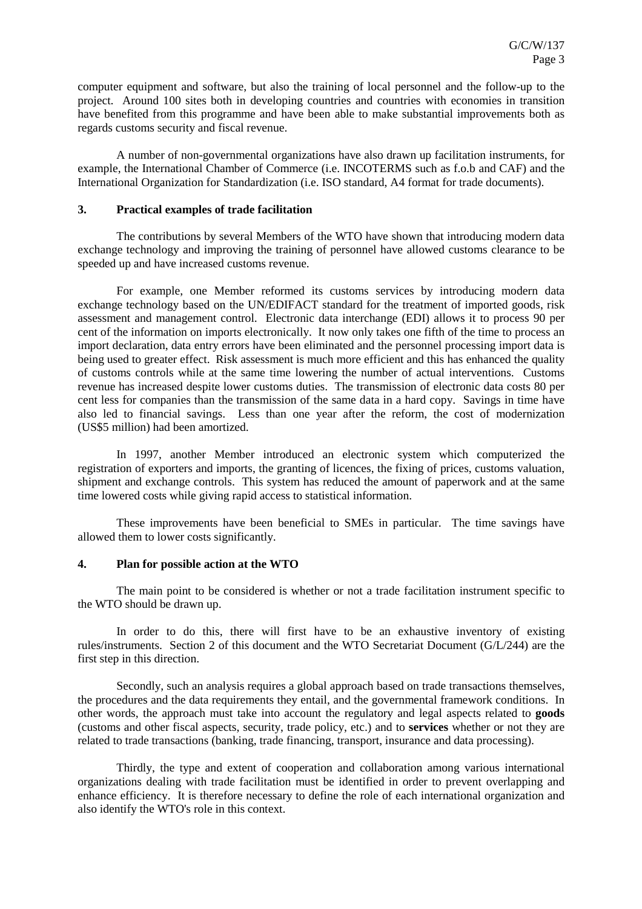computer equipment and software, but also the training of local personnel and the follow-up to the project. Around 100 sites both in developing countries and countries with economies in transition have benefited from this programme and have been able to make substantial improvements both as regards customs security and fiscal revenue.

A number of non-governmental organizations have also drawn up facilitation instruments, for example, the International Chamber of Commerce (i.e. INCOTERMS such as f.o.b and CAF) and the International Organization for Standardization (i.e. ISO standard, A4 format for trade documents).

#### **3. Practical examples of trade facilitation**

The contributions by several Members of the WTO have shown that introducing modern data exchange technology and improving the training of personnel have allowed customs clearance to be speeded up and have increased customs revenue.

For example, one Member reformed its customs services by introducing modern data exchange technology based on the UN/EDIFACT standard for the treatment of imported goods, risk assessment and management control. Electronic data interchange (EDI) allows it to process 90 per cent of the information on imports electronically. It now only takes one fifth of the time to process an import declaration, data entry errors have been eliminated and the personnel processing import data is being used to greater effect. Risk assessment is much more efficient and this has enhanced the quality of customs controls while at the same time lowering the number of actual interventions. Customs revenue has increased despite lower customs duties. The transmission of electronic data costs 80 per cent less for companies than the transmission of the same data in a hard copy. Savings in time have also led to financial savings. Less than one year after the reform, the cost of modernization (US\$5 million) had been amortized.

In 1997, another Member introduced an electronic system which computerized the registration of exporters and imports, the granting of licences, the fixing of prices, customs valuation, shipment and exchange controls. This system has reduced the amount of paperwork and at the same time lowered costs while giving rapid access to statistical information.

These improvements have been beneficial to SMEs in particular. The time savings have allowed them to lower costs significantly.

#### **4. Plan for possible action at the WTO**

The main point to be considered is whether or not a trade facilitation instrument specific to the WTO should be drawn up.

In order to do this, there will first have to be an exhaustive inventory of existing rules/instruments. Section 2 of this document and the WTO Secretariat Document (G/L/244) are the first step in this direction.

Secondly, such an analysis requires a global approach based on trade transactions themselves, the procedures and the data requirements they entail, and the governmental framework conditions. In other words, the approach must take into account the regulatory and legal aspects related to **goods** (customs and other fiscal aspects, security, trade policy, etc.) and to **services** whether or not they are related to trade transactions (banking, trade financing, transport, insurance and data processing).

Thirdly, the type and extent of cooperation and collaboration among various international organizations dealing with trade facilitation must be identified in order to prevent overlapping and enhance efficiency. It is therefore necessary to define the role of each international organization and also identify the WTO's role in this context.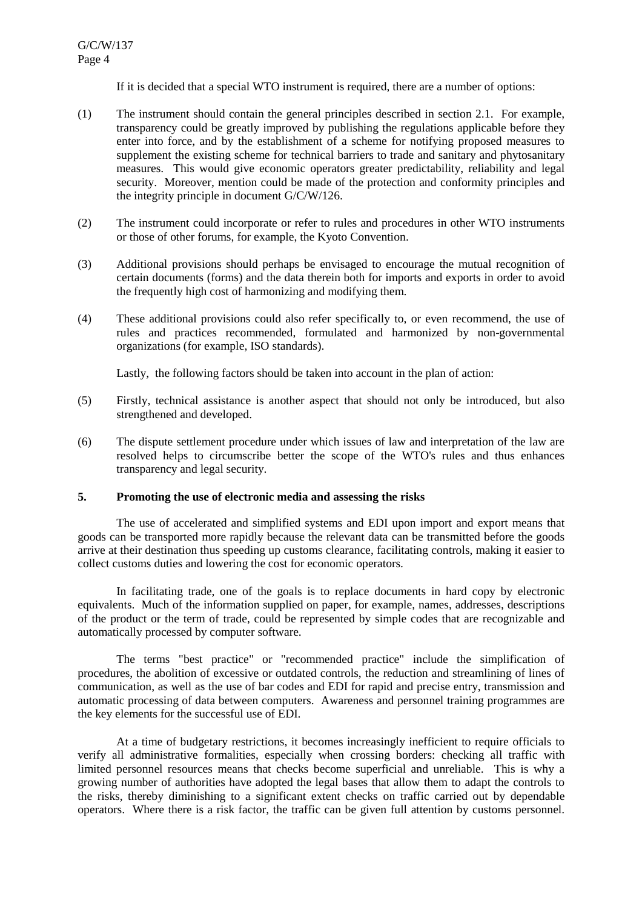If it is decided that a special WTO instrument is required, there are a number of options:

- (1) The instrument should contain the general principles described in section 2.1. For example, transparency could be greatly improved by publishing the regulations applicable before they enter into force, and by the establishment of a scheme for notifying proposed measures to supplement the existing scheme for technical barriers to trade and sanitary and phytosanitary measures. This would give economic operators greater predictability, reliability and legal security. Moreover, mention could be made of the protection and conformity principles and the integrity principle in document G/C/W/126.
- (2) The instrument could incorporate or refer to rules and procedures in other WTO instruments or those of other forums, for example, the Kyoto Convention.
- (3) Additional provisions should perhaps be envisaged to encourage the mutual recognition of certain documents (forms) and the data therein both for imports and exports in order to avoid the frequently high cost of harmonizing and modifying them.
- (4) These additional provisions could also refer specifically to, or even recommend, the use of rules and practices recommended, formulated and harmonized by non-governmental organizations (for example, ISO standards).

Lastly, the following factors should be taken into account in the plan of action:

- (5) Firstly, technical assistance is another aspect that should not only be introduced, but also strengthened and developed.
- (6) The dispute settlement procedure under which issues of law and interpretation of the law are resolved helps to circumscribe better the scope of the WTO's rules and thus enhances transparency and legal security.

# **5. Promoting the use of electronic media and assessing the risks**

The use of accelerated and simplified systems and EDI upon import and export means that goods can be transported more rapidly because the relevant data can be transmitted before the goods arrive at their destination thus speeding up customs clearance, facilitating controls, making it easier to collect customs duties and lowering the cost for economic operators.

In facilitating trade, one of the goals is to replace documents in hard copy by electronic equivalents. Much of the information supplied on paper, for example, names, addresses, descriptions of the product or the term of trade, could be represented by simple codes that are recognizable and automatically processed by computer software.

The terms "best practice" or "recommended practice" include the simplification of procedures, the abolition of excessive or outdated controls, the reduction and streamlining of lines of communication, as well as the use of bar codes and EDI for rapid and precise entry, transmission and automatic processing of data between computers. Awareness and personnel training programmes are the key elements for the successful use of EDI.

At a time of budgetary restrictions, it becomes increasingly inefficient to require officials to verify all administrative formalities, especially when crossing borders: checking all traffic with limited personnel resources means that checks become superficial and unreliable. This is why a growing number of authorities have adopted the legal bases that allow them to adapt the controls to the risks, thereby diminishing to a significant extent checks on traffic carried out by dependable operators. Where there is a risk factor, the traffic can be given full attention by customs personnel.